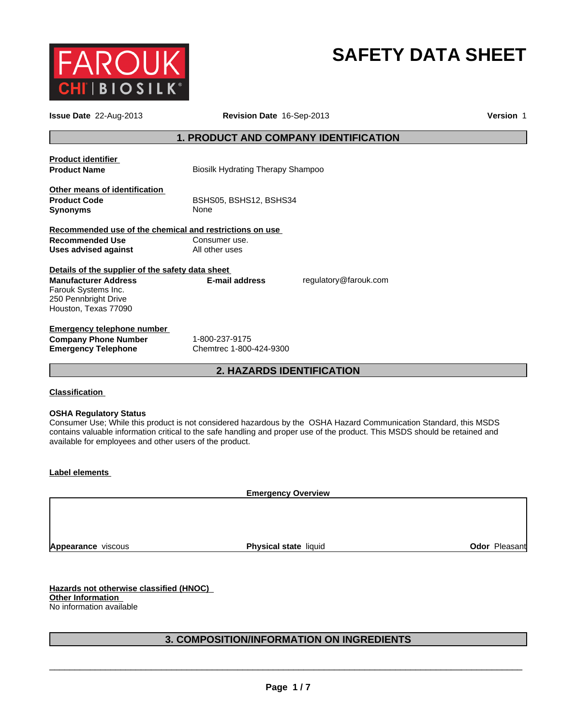

# **SAFETY DATA SHEET**

| <b>Issue Date</b> 22-Aug-2013                                                                                    |                                              | Revision Date 16-Sep-2013 |  |  |
|------------------------------------------------------------------------------------------------------------------|----------------------------------------------|---------------------------|--|--|
|                                                                                                                  | <b>1. PRODUCT AND COMPANY IDENTIFICATION</b> |                           |  |  |
| <b>Product identifier</b><br><b>Product Name</b>                                                                 | <b>Biosilk Hydrating Therapy Shampoo</b>     |                           |  |  |
| Other means of identification<br><b>Product Code</b><br><b>Synonyms</b>                                          | BSHS05, BSHS12, BSHS34<br>None               |                           |  |  |
| Recommended use of the chemical and restrictions on use<br><b>Recommended Use</b><br><b>Uses advised against</b> | Consumer use.<br>All other uses              |                           |  |  |
| Details of the supplier of the safety data sheet                                                                 |                                              |                           |  |  |
| <b>Manufacturer Address</b><br>Farouk Systems Inc.<br>250 Pennbright Drive<br>Houston, Texas 77090               | E-mail address                               | regulatory@farouk.com     |  |  |
| <b>Emergency telephone number</b><br><b>Company Phone Number</b><br><b>Emergency Telephone</b>                   | 1-800-237-9175<br>Chemtrec 1-800-424-9300    |                           |  |  |
|                                                                                                                  | <b>2. HAZARDS IDENTIFICATION</b>             |                           |  |  |

## **Classification**

## **OSHA Regulatory Status**

Consumer Use; While this product is not considered hazardous by the OSHA Hazard Communication Standard, this MSDS contains valuable information critical to the safe handling and proper use of the product. This MSDS should be retained and available for employees and other users of the product.

## **Label elements**

**Emergency Overview**

**Appearance** viscous

**Physical state liquid Contract Contract Contract Pleasant** 

**Hazards not otherwise classified (HNOC) Other Information**  No information available

## **3. COMPOSITION/INFORMATION ON INGREDIENTS**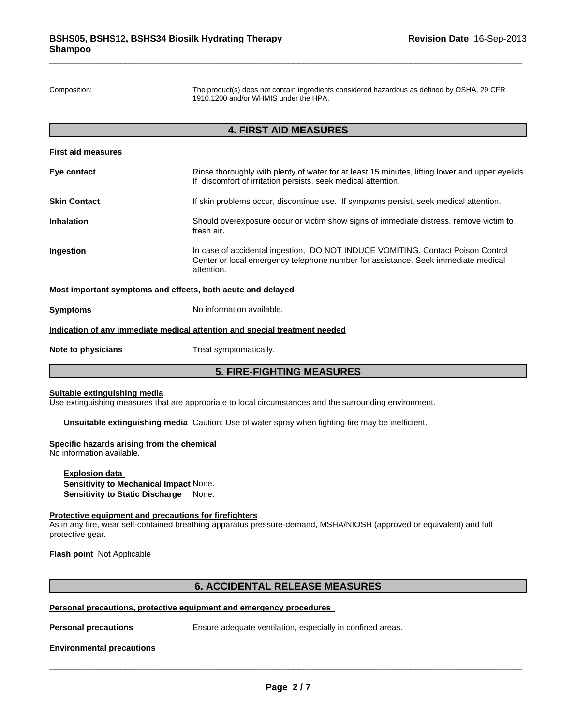Composition: The product(s) does not contain ingredients considered hazardous as defined by OSHA, 29 CFR 1910.1200 and/or WHMIS under the HPA.

## **4. FIRST AID MEASURES**

| <b>5. FIRE-FIGHTING MEASURES</b> |                                                                                                                                                                                    |  |  |
|----------------------------------|------------------------------------------------------------------------------------------------------------------------------------------------------------------------------------|--|--|
| Note to physicians               | Treat symptomatically.                                                                                                                                                             |  |  |
|                                  | Indication of any immediate medical attention and special treatment needed                                                                                                         |  |  |
| <b>Symptoms</b>                  | No information available.                                                                                                                                                          |  |  |
|                                  | Most important symptoms and effects, both acute and delayed                                                                                                                        |  |  |
| Ingestion                        | In case of accidental ingestion, DO NOT INDUCE VOMITING. Contact Poison Control<br>Center or local emergency telephone number for assistance. Seek immediate medical<br>attention. |  |  |
| <b>Inhalation</b>                | Should overexposure occur or victim show signs of immediate distress, remove victim to<br>fresh air.                                                                               |  |  |
| <b>Skin Contact</b>              | If skin problems occur, discontinue use. If symptoms persist, seek medical attention.                                                                                              |  |  |
| Eye contact                      | Rinse thoroughly with plenty of water for at least 15 minutes, lifting lower and upper eyelids.<br>If discomfort of irritation persists, seek medical attention.                   |  |  |
| First aid measures               |                                                                                                                                                                                    |  |  |

## **Suitable extinguishing media**

Use extinguishing measures that are appropriate to local circumstances and the surrounding environment.

**Unsuitable extinguishing media** Caution: Use of water spray when fighting fire may be inefficient.

#### **Specific hazards arising from the chemical**

No information available.

**Explosion data Sensitivity to Mechanical Impact** None. **Sensitivity to Static Discharge** None.

#### **Protective equipment and precautions for firefighters**

As in any fire, wear self-contained breathing apparatus pressure-demand, MSHA/NIOSH (approved or equivalent) and full protective gear.

**Flash point** Not Applicable

## **6. ACCIDENTAL RELEASE MEASURES**

## **Personal precautions, protective equipment and emergency procedures**

**Personal precautions** Ensure adequate ventilation, especially in confined areas.

\_\_\_\_\_\_\_\_\_\_\_\_\_\_\_\_\_\_\_\_\_\_\_\_\_\_\_\_\_\_\_\_\_\_\_\_\_\_\_\_\_\_\_\_\_\_\_\_\_\_\_\_\_\_\_\_\_\_\_\_\_\_\_\_\_\_\_\_\_\_\_\_\_\_\_\_\_\_\_\_\_\_\_\_\_\_\_\_\_\_\_\_\_

## **Environmental precautions**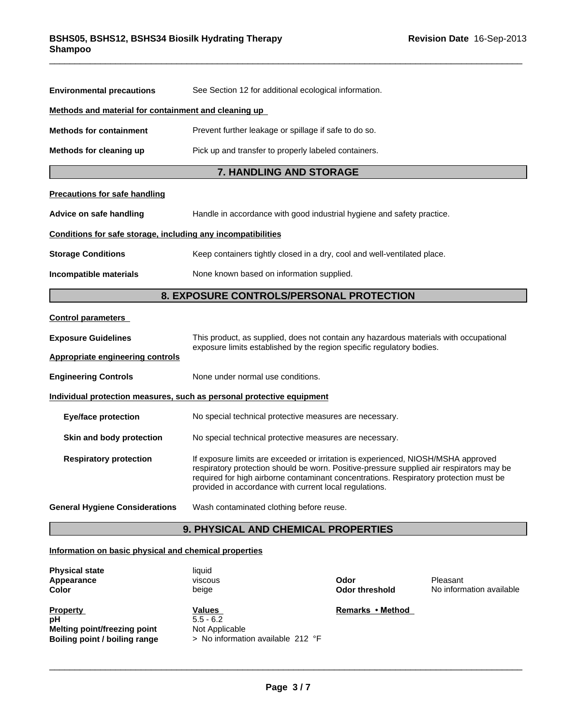| <b>Environmental precautions</b>                                                                                                                                                                                                                                                                                                                                  | See Section 12 for additional ecological information.                                 |  |  |  |  |
|-------------------------------------------------------------------------------------------------------------------------------------------------------------------------------------------------------------------------------------------------------------------------------------------------------------------------------------------------------------------|---------------------------------------------------------------------------------------|--|--|--|--|
| Methods and material for containment and cleaning up                                                                                                                                                                                                                                                                                                              |                                                                                       |  |  |  |  |
| <b>Methods for containment</b>                                                                                                                                                                                                                                                                                                                                    | Prevent further leakage or spillage if safe to do so.                                 |  |  |  |  |
| Methods for cleaning up                                                                                                                                                                                                                                                                                                                                           | Pick up and transfer to properly labeled containers.                                  |  |  |  |  |
|                                                                                                                                                                                                                                                                                                                                                                   | 7. HANDLING AND STORAGE                                                               |  |  |  |  |
| <b>Precautions for safe handling</b>                                                                                                                                                                                                                                                                                                                              |                                                                                       |  |  |  |  |
| Advice on safe handling                                                                                                                                                                                                                                                                                                                                           | Handle in accordance with good industrial hygiene and safety practice.                |  |  |  |  |
| Conditions for safe storage, including any incompatibilities                                                                                                                                                                                                                                                                                                      |                                                                                       |  |  |  |  |
| <b>Storage Conditions</b><br>Keep containers tightly closed in a dry, cool and well-ventilated place.                                                                                                                                                                                                                                                             |                                                                                       |  |  |  |  |
| Incompatible materials                                                                                                                                                                                                                                                                                                                                            | None known based on information supplied.                                             |  |  |  |  |
|                                                                                                                                                                                                                                                                                                                                                                   | 8. EXPOSURE CONTROLS/PERSONAL PROTECTION                                              |  |  |  |  |
| <b>Control parameters</b>                                                                                                                                                                                                                                                                                                                                         |                                                                                       |  |  |  |  |
| <b>Exposure Guidelines</b>                                                                                                                                                                                                                                                                                                                                        | This product, as supplied, does not contain any hazardous materials with occupational |  |  |  |  |
| <b>Appropriate engineering controls</b>                                                                                                                                                                                                                                                                                                                           | exposure limits established by the region specific regulatory bodies.                 |  |  |  |  |
| <b>Engineering Controls</b>                                                                                                                                                                                                                                                                                                                                       | None under normal use conditions.                                                     |  |  |  |  |
|                                                                                                                                                                                                                                                                                                                                                                   | Individual protection measures, such as personal protective equipment                 |  |  |  |  |
| <b>Eye/face protection</b>                                                                                                                                                                                                                                                                                                                                        | No special technical protective measures are necessary.                               |  |  |  |  |
| Skin and body protection                                                                                                                                                                                                                                                                                                                                          | No special technical protective measures are necessary.                               |  |  |  |  |
| <b>Respiratory protection</b><br>If exposure limits are exceeded or irritation is experienced, NIOSH/MSHA approved<br>respiratory protection should be worn. Positive-pressure supplied air respirators may be<br>required for high airborne contaminant concentrations. Respiratory protection must be<br>provided in accordance with current local regulations. |                                                                                       |  |  |  |  |
| <b>General Hygiene Considerations</b>                                                                                                                                                                                                                                                                                                                             | Wash contaminated clothing before reuse.                                              |  |  |  |  |
|                                                                                                                                                                                                                                                                                                                                                                   | <b>9. PHYSICAL AND CHEMICAL PROPERTIES</b>                                            |  |  |  |  |

# **Information on basic physical and chemical properties**

| <b>Physical state</b><br>Appearance<br>Color                                                  | liquid<br>viscous<br>beige                                                          | Odor<br>Odor threshold | Pleasant<br>No information available |
|-----------------------------------------------------------------------------------------------|-------------------------------------------------------------------------------------|------------------------|--------------------------------------|
| <b>Property</b><br>рH<br><b>Melting point/freezing point</b><br>Boiling point / boiling range | <b>Values</b><br>$5.5 - 6.2$<br>Not Applicable<br>> No information available 212 °F | Remarks • Method       |                                      |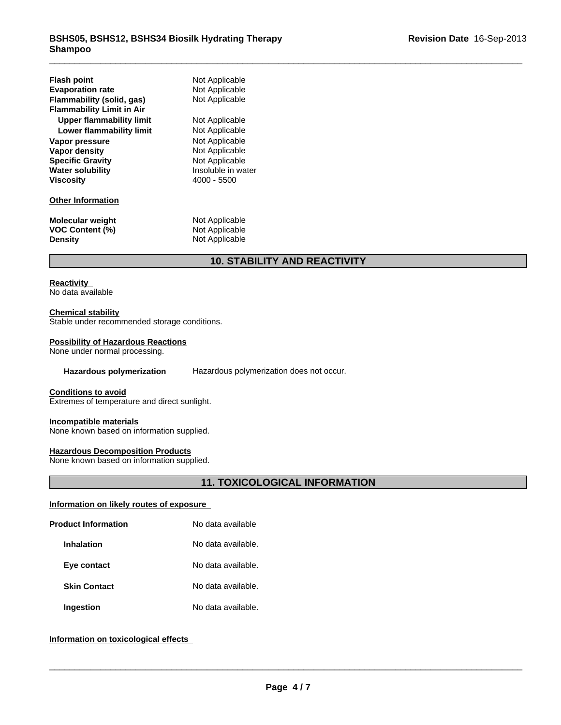| <b>Flash point</b><br><b>Evaporation rate</b><br>Flammability (solid, gas)<br><b>Flammability Limit in Air</b><br>Upper flammability limit<br>Lower flammability limit<br>Vapor pressure<br>Vapor density<br><b>Specific Gravity</b><br><b>Water solubility</b><br><b>Viscosity</b> | Not Applicable<br>Not Applicable<br>Not Applicable<br>Not Applicable<br>Not Applicable<br>Not Applicable<br>Not Applicable<br>Not Applicable<br>Insoluble in water<br>4000 - 5500 |
|-------------------------------------------------------------------------------------------------------------------------------------------------------------------------------------------------------------------------------------------------------------------------------------|-----------------------------------------------------------------------------------------------------------------------------------------------------------------------------------|
| <b>Other Information</b>                                                                                                                                                                                                                                                            |                                                                                                                                                                                   |
| <b>Molecular weight</b><br><b>VOC Content (%)</b><br><b>Density</b>                                                                                                                                                                                                                 | Not Applicable<br>Not Applicable<br>Not Applicable                                                                                                                                |

# **10. STABILITY AND REACTIVITY**

## **Reactivity**

No data available

## **Chemical stability**

Stable under recommended storage conditions.

## **Possibility of Hazardous Reactions**

None under normal processing.

**Hazardous polymerization** Hazardous polymerization does not occur.

#### **Conditions to avoid**

Extremes of temperature and direct sunlight.

#### **Incompatible materials**

None known based on information supplied.

## **Hazardous Decomposition Products**

None known based on information supplied.

## **11. TOXICOLOGICAL INFORMATION**

## **Information on likely routes of exposure**

| <b>Product Information</b> | No data available  |  |
|----------------------------|--------------------|--|
| <b>Inhalation</b>          | No data available. |  |
| Eye contact                | No data available. |  |
| <b>Skin Contact</b>        | No data available. |  |
| <b>Ingestion</b>           | No data available. |  |

## **Information on toxicological effects**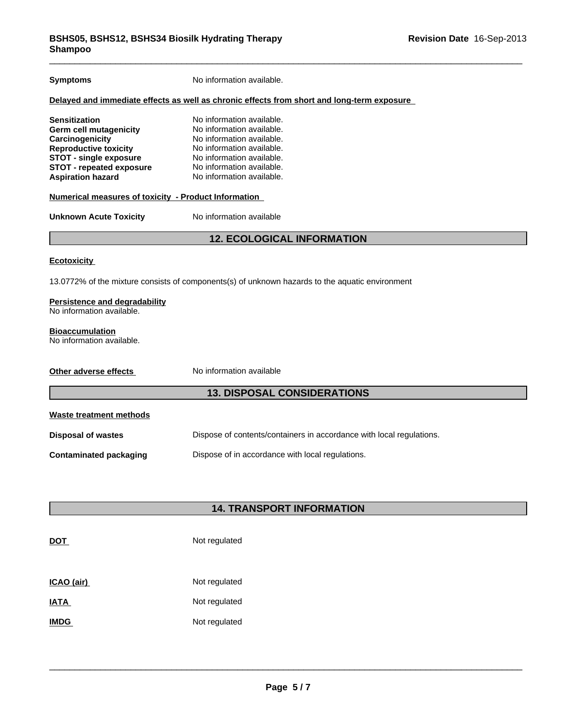| <b>Symptoms</b>                                                                                                                                                                                   | No information available.                                                                                                                                                                               |  |  |  |
|---------------------------------------------------------------------------------------------------------------------------------------------------------------------------------------------------|---------------------------------------------------------------------------------------------------------------------------------------------------------------------------------------------------------|--|--|--|
|                                                                                                                                                                                                   | Delayed and immediate effects as well as chronic effects from short and long-term exposure                                                                                                              |  |  |  |
| Sensitization<br><b>Germ cell mutagenicity</b><br>Carcinogenicity<br><b>Reproductive toxicity</b><br><b>STOT - single exposure</b><br><b>STOT - repeated exposure</b><br><b>Aspiration hazard</b> | No information available.<br>No information available.<br>No information available.<br>No information available.<br>No information available.<br>No information available.<br>No information available. |  |  |  |
| <b>Numerical measures of toxicity - Product Information</b>                                                                                                                                       |                                                                                                                                                                                                         |  |  |  |
| <b>Unknown Acute Toxicity</b>                                                                                                                                                                     | No information available                                                                                                                                                                                |  |  |  |
|                                                                                                                                                                                                   | <b>12. ECOLOGICAL INFORMATION</b>                                                                                                                                                                       |  |  |  |
| <b>Ecotoxicity</b>                                                                                                                                                                                |                                                                                                                                                                                                         |  |  |  |
|                                                                                                                                                                                                   | 13.0772% of the mixture consists of components(s) of unknown hazards to the aquatic environment                                                                                                         |  |  |  |
| Persistence and degradability<br>No information available.                                                                                                                                        |                                                                                                                                                                                                         |  |  |  |
| <b>Bioaccumulation</b><br>No information available.                                                                                                                                               |                                                                                                                                                                                                         |  |  |  |
| Other adverse effects                                                                                                                                                                             | No information available                                                                                                                                                                                |  |  |  |
| <b>13. DISPOSAL CONSIDERATIONS</b>                                                                                                                                                                |                                                                                                                                                                                                         |  |  |  |
| <b>Waste treatment methods</b>                                                                                                                                                                    |                                                                                                                                                                                                         |  |  |  |
| <b>Disposal of wastes</b>                                                                                                                                                                         | Dispose of contents/containers in accordance with local regulations.                                                                                                                                    |  |  |  |
| <b>Contaminated packaging</b>                                                                                                                                                                     | Dispose of in accordance with local regulations.                                                                                                                                                        |  |  |  |
|                                                                                                                                                                                                   |                                                                                                                                                                                                         |  |  |  |
|                                                                                                                                                                                                   |                                                                                                                                                                                                         |  |  |  |
|                                                                                                                                                                                                   | <b>14. TRANSPORT INFORMATION</b>                                                                                                                                                                        |  |  |  |

# **DOT** Not regulated

| ICAO (air)  | Not regulated |
|-------------|---------------|
| <b>IATA</b> | Not regulated |
| <b>IMDG</b> | Not regulated |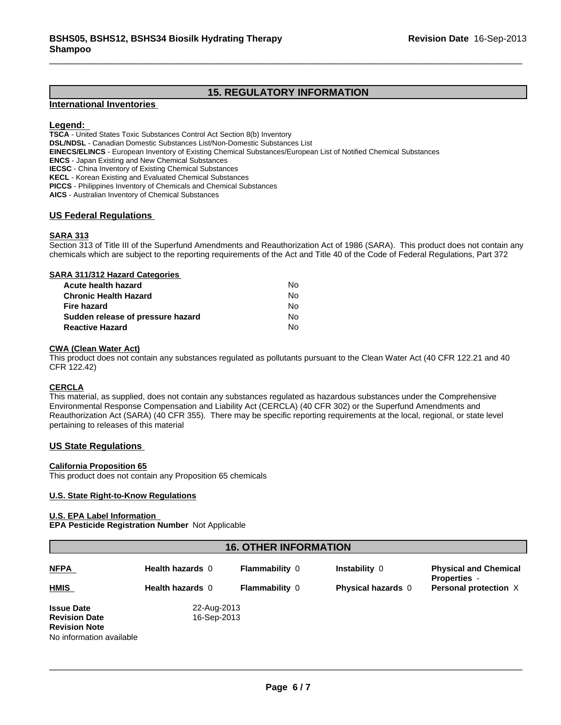## **15. REGULATORY INFORMATION**

## **International Inventories**

## **Legend:**

**TSCA** - United States Toxic Substances Control Act Section 8(b) Inventory

**DSL/NDSL** - Canadian Domestic Substances List/Non-Domestic Substances List

**EINECS/ELINCS** - European Inventory of Existing Chemical Substances/European List of Notified Chemical Substances

**ENCS** - Japan Existing and New Chemical Substances

**IECSC** - China Inventory of Existing Chemical Substances

**KECL** - Korean Existing and Evaluated Chemical Substances

**PICCS** - Philippines Inventory of Chemicals and Chemical Substances

**AICS** - Australian Inventory of Chemical Substances

## **US Federal Regulations**

## **SARA 313**

Section 313 of Title III of the Superfund Amendments and Reauthorization Act of 1986 (SARA). This product does not contain any chemicals which are subject to the reporting requirements of the Act and Title 40 of the Code of Federal Regulations, Part 372

#### **SARA 311/312 Hazard Categories**

| Acute health hazard               | No. |  |
|-----------------------------------|-----|--|
| Chronic Health Hazard             | No. |  |
| Fire hazard                       | No. |  |
| Sudden release of pressure hazard | No. |  |
| <b>Reactive Hazard</b>            | N٥  |  |

## **CWA (Clean Water Act)**

This product does not contain any substances regulated as pollutants pursuant to the Clean Water Act (40 CFR 122.21 and 40 CFR 122.42)

## **CERCLA**

This material, as supplied, does not contain any substances regulated as hazardous substances under the Comprehensive Environmental Response Compensation and Liability Act (CERCLA) (40 CFR 302) or the Superfund Amendments and Reauthorization Act (SARA) (40 CFR 355). There may be specific reporting requirements at the local, regional, or state level pertaining to releases of this material

## **US State Regulations**

#### **California Proposition 65**

This product does not contain any Proposition 65 chemicals

#### **U.S. State Right-to-Know Regulations**

## **U.S. EPA Label Information**

**EPA Pesticide Registration Number** Not Applicable

## **16. OTHER INFORMATION**

| <b>NFPA</b>                                                                                   | Health hazards 0           | <b>Flammability 0</b> | Instability 0             | <b>Physical and Chemical</b><br><b>Properties</b> - |
|-----------------------------------------------------------------------------------------------|----------------------------|-----------------------|---------------------------|-----------------------------------------------------|
| <b>HMIS</b>                                                                                   | <b>Health hazards 0</b>    | <b>Flammability 0</b> | <b>Physical hazards</b> 0 | Personal protection X                               |
| <b>Issue Date</b><br><b>Revision Date</b><br><b>Revision Note</b><br>No information available | 22-Aug-2013<br>16-Sep-2013 |                       |                           |                                                     |